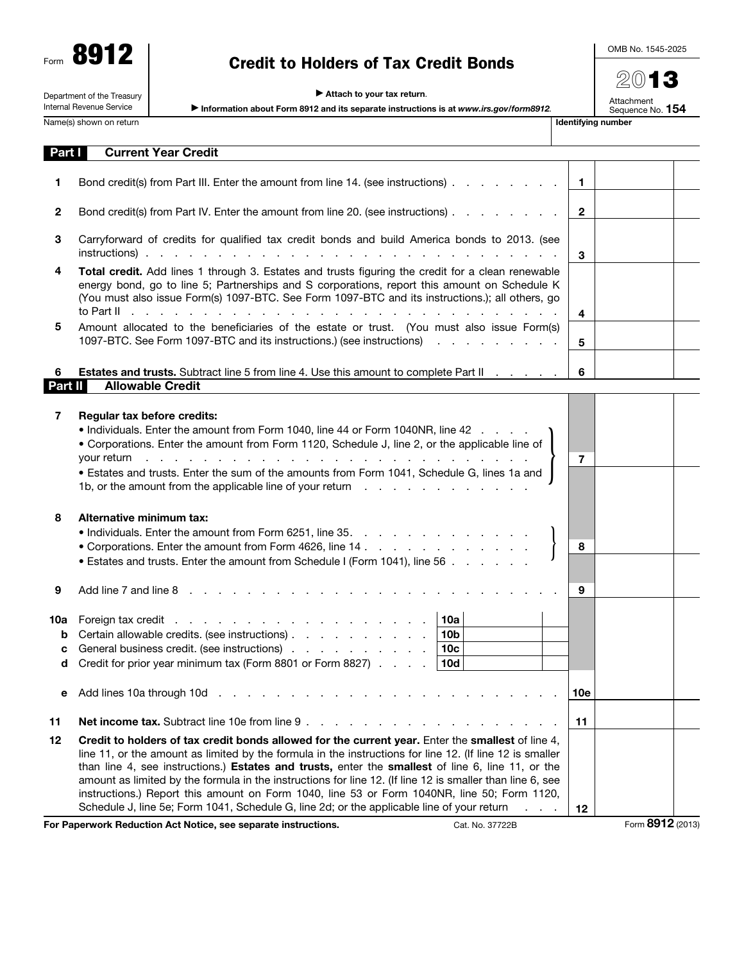Form 8912

## Credit to Holders of Tax Credit Bonds

OMB No. 1545-2025

2013

Attachment<br>Sequence No. **154** 

 $\blacktriangleright$  Attach to your tax return.

Department of the Treasury Internal Revenue Service

| Information about Form 8912 and its separate instructions is at www.irs.gov/form8912. |
|---------------------------------------------------------------------------------------|
|---------------------------------------------------------------------------------------|

Name(s) shown on return in the state of the state of the state of the state of the state of the state of the state of the state of the state of the state of the state of the state of the state of the state of the state of

| Part               | <b>Current Year Credit</b>                                                                                                                                                                                                                                                                                                                                                                                                                                                                                                                                                                                                                                                                                             |              |                  |
|--------------------|------------------------------------------------------------------------------------------------------------------------------------------------------------------------------------------------------------------------------------------------------------------------------------------------------------------------------------------------------------------------------------------------------------------------------------------------------------------------------------------------------------------------------------------------------------------------------------------------------------------------------------------------------------------------------------------------------------------------|--------------|------------------|
| 1.                 | Bond credit(s) from Part III. Enter the amount from line 14. (see instructions)                                                                                                                                                                                                                                                                                                                                                                                                                                                                                                                                                                                                                                        | $\mathbf{1}$ |                  |
| 2                  | Bond credit(s) from Part IV. Enter the amount from line 20. (see instructions)                                                                                                                                                                                                                                                                                                                                                                                                                                                                                                                                                                                                                                         | $\mathbf{2}$ |                  |
| 3                  | Carryforward of credits for qualified tax credit bonds and build America bonds to 2013. (see<br>instructions).                                                                                                                                                                                                                                                                                                                                                                                                                                                                                                                                                                                                         | 3            |                  |
| 4                  | Total credit. Add lines 1 through 3. Estates and trusts figuring the credit for a clean renewable<br>energy bond, go to line 5; Partnerships and S corporations, report this amount on Schedule K<br>(You must also issue Form(s) 1097-BTC. See Form 1097-BTC and its instructions.); all others, go<br>to Part II<br>the contract of the contract of the contract of the contract of the contract of the contract of the contract of                                                                                                                                                                                                                                                                                  | 4            |                  |
| 5                  | Amount allocated to the beneficiaries of the estate or trust. (You must also issue Form(s)<br>1097-BTC. See Form 1097-BTC and its instructions.) (see instructions)                                                                                                                                                                                                                                                                                                                                                                                                                                                                                                                                                    | 5            |                  |
| 6<br>Part II       | <b>Estates and trusts.</b> Subtract line 5 from line 4. Use this amount to complete Part II<br><b>Allowable Credit</b>                                                                                                                                                                                                                                                                                                                                                                                                                                                                                                                                                                                                 | 6            |                  |
| 7                  | Regular tax before credits:<br>• Individuals. Enter the amount from Form 1040, line 44 or Form 1040NR, line 42<br>• Corporations. Enter the amount from Form 1120, Schedule J, line 2, or the applicable line of<br>de la casa de la casa de la casa de la casa de la casa de<br>your return<br>• Estates and trusts. Enter the sum of the amounts from Form 1041, Schedule G, lines 1a and<br>1b, or the amount from the applicable line of your return                                                                                                                                                                                                                                                               | 7            |                  |
| 8                  | Alternative minimum tax:<br>• Individuals. Enter the amount from Form 6251, line 35.<br>• Corporations. Enter the amount from Form 4626, line 14<br>• Estates and trusts. Enter the amount from Schedule I (Form 1041), line 56                                                                                                                                                                                                                                                                                                                                                                                                                                                                                        | 8            |                  |
| 9                  | Add line 7 and line 8                                                                                                                                                                                                                                                                                                                                                                                                                                                                                                                                                                                                                                                                                                  | 9            |                  |
| 10a<br>b<br>c<br>d | 10a<br>Certain allowable credits. (see instructions)<br>10 <sub>b</sub><br>General business credit. (see instructions)<br>10 <sub>c</sub><br>Credit for prior year minimum tax (Form 8801 or Form 8827)<br>10d                                                                                                                                                                                                                                                                                                                                                                                                                                                                                                         |              |                  |
| е                  | Add lines 10a through 10d<br>the contract of the contract of the contract of the contract of the contract of the contract of the contract of                                                                                                                                                                                                                                                                                                                                                                                                                                                                                                                                                                           | 10e          |                  |
| 11                 | Net income tax. Subtract line 10e from line 9.<br>and a state of the state of the                                                                                                                                                                                                                                                                                                                                                                                                                                                                                                                                                                                                                                      | 11           |                  |
| 12                 | Credit to holders of tax credit bonds allowed for the current year. Enter the smallest of line 4,<br>line 11, or the amount as limited by the formula in the instructions for line 12. (If line 12 is smaller<br>than line 4, see instructions.) Estates and trusts, enter the smallest of line 6, line 11, or the<br>amount as limited by the formula in the instructions for line 12. (If line 12 is smaller than line 6, see<br>instructions.) Report this amount on Form 1040, line 53 or Form 1040NR, line 50; Form 1120,<br>Schedule J, line 5e; Form 1041, Schedule G, line 2d; or the applicable line of your return<br>.<br>For Paperwork Reduction Act Notice, see separate instructions.<br>Cat. No. 37722B | 12           | Form 8912 (2013) |
|                    |                                                                                                                                                                                                                                                                                                                                                                                                                                                                                                                                                                                                                                                                                                                        |              |                  |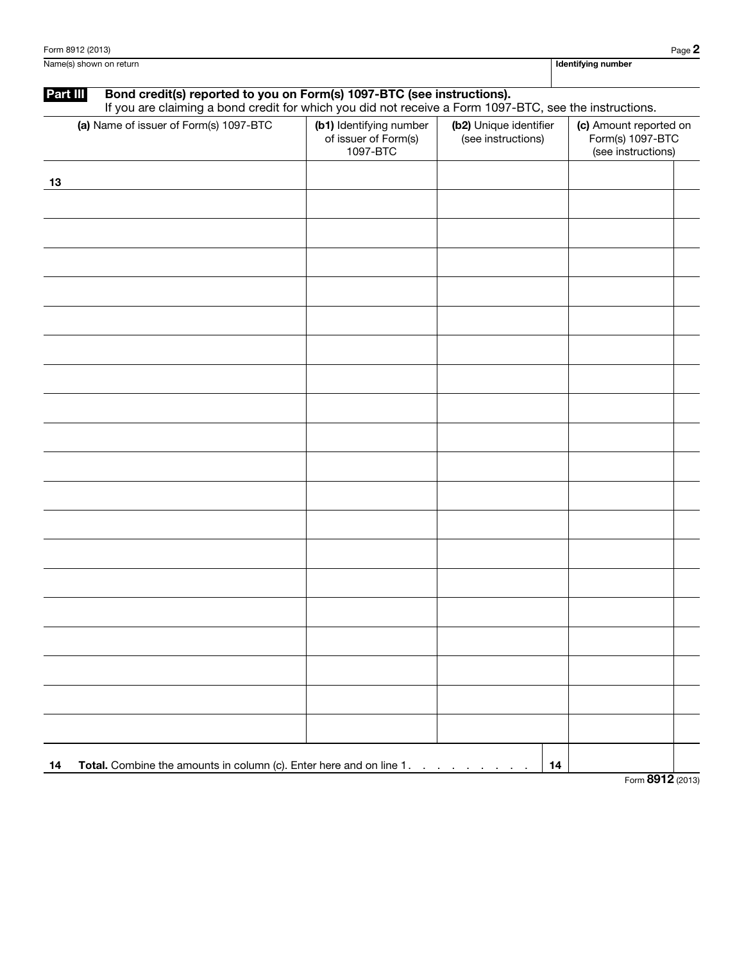Name(s) shown on return **Identifying number Identifying number Identifying number** 

## Part III Bond credit(s) reported to you on Form(s) 1097-BTC (see instructions).

If you are claiming a bond credit for which you did not receive a Form 1097-BTC, see the instructions.

| (a) Name of issuer of Form(s) 1097-BTC                                    | (b1) Identifying number<br>of issuer of Form(s)<br>1097-BTC | (b2) Unique identifier<br>(see instructions) | (c) Amount reported on<br>Form(s) 1097-BTC<br>(see instructions) |
|---------------------------------------------------------------------------|-------------------------------------------------------------|----------------------------------------------|------------------------------------------------------------------|
| 13                                                                        |                                                             |                                              |                                                                  |
|                                                                           |                                                             |                                              |                                                                  |
|                                                                           |                                                             |                                              |                                                                  |
|                                                                           |                                                             |                                              |                                                                  |
|                                                                           |                                                             |                                              |                                                                  |
|                                                                           |                                                             |                                              |                                                                  |
|                                                                           |                                                             |                                              |                                                                  |
|                                                                           |                                                             |                                              |                                                                  |
|                                                                           |                                                             |                                              |                                                                  |
|                                                                           |                                                             |                                              |                                                                  |
|                                                                           |                                                             |                                              |                                                                  |
|                                                                           |                                                             |                                              |                                                                  |
|                                                                           |                                                             |                                              |                                                                  |
|                                                                           |                                                             |                                              |                                                                  |
|                                                                           |                                                             |                                              |                                                                  |
|                                                                           |                                                             |                                              |                                                                  |
|                                                                           |                                                             |                                              |                                                                  |
|                                                                           |                                                             |                                              |                                                                  |
|                                                                           |                                                             |                                              |                                                                  |
|                                                                           |                                                             |                                              |                                                                  |
| Total. Combine the amounts in column (c). Enter here and on line 1.<br>14 |                                                             | 14                                           |                                                                  |

Form 8912 (2013)